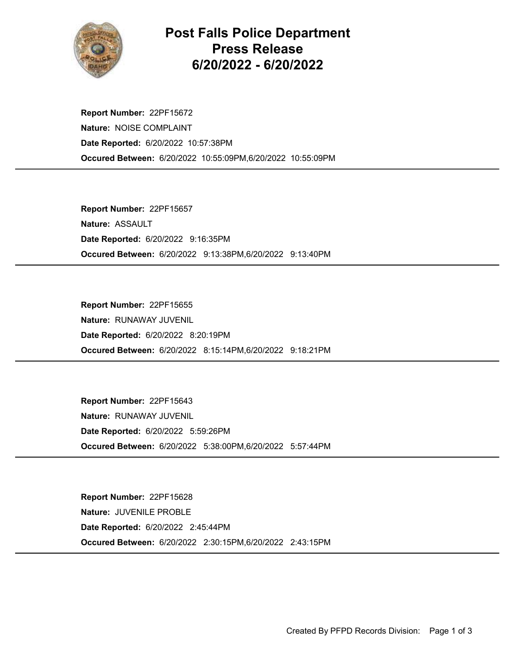

## Post Falls Police Department Press Release 6/20/2022 - 6/20/2022

Occured Between: 6/20/2022 10:55:09PM,6/20/2022 10:55:09PM Report Number: 22PF15672 Nature: NOISE COMPLAINT Date Reported: 6/20/2022 10:57:38PM

Occured Between: 6/20/2022 9:13:38PM,6/20/2022 9:13:40PM Report Number: 22PF15657 Nature: ASSAULT Date Reported: 6/20/2022 9:16:35PM

Occured Between: 6/20/2022 8:15:14PM,6/20/2022 9:18:21PM Report Number: 22PF15655 Nature: RUNAWAY JUVENIL Date Reported: 6/20/2022 8:20:19PM

Occured Between: 6/20/2022 5:38:00PM,6/20/2022 5:57:44PM Report Number: 22PF15643 Nature: RUNAWAY JUVENIL Date Reported: 6/20/2022 5:59:26PM

Occured Between: 6/20/2022 2:30:15PM,6/20/2022 2:43:15PM Report Number: 22PF15628 Nature: JUVENILE PROBLE Date Reported: 6/20/2022 2:45:44PM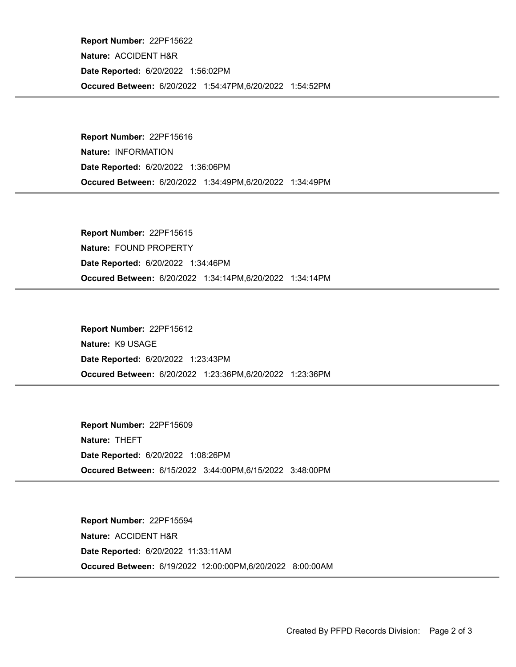Occured Between: 6/20/2022 1:54:47PM,6/20/2022 1:54:52PM Report Number: 22PF15622 Nature: ACCIDENT H&R Date Reported: 6/20/2022 1:56:02PM

Occured Between: 6/20/2022 1:34:49PM,6/20/2022 1:34:49PM Report Number: 22PF15616 Nature: INFORMATION Date Reported: 6/20/2022 1:36:06PM

Occured Between: 6/20/2022 1:34:14PM,6/20/2022 1:34:14PM Report Number: 22PF15615 Nature: FOUND PROPERTY Date Reported: 6/20/2022 1:34:46PM

Occured Between: 6/20/2022 1:23:36PM,6/20/2022 1:23:36PM Report Number: 22PF15612 Nature: K9 USAGE Date Reported: 6/20/2022 1:23:43PM

Occured Between: 6/15/2022 3:44:00PM,6/15/2022 3:48:00PM Report Number: 22PF15609 Nature: THEFT Date Reported: 6/20/2022 1:08:26PM

Occured Between: 6/19/2022 12:00:00PM,6/20/2022 8:00:00AM Report Number: 22PF15594 Nature: ACCIDENT H&R Date Reported: 6/20/2022 11:33:11AM